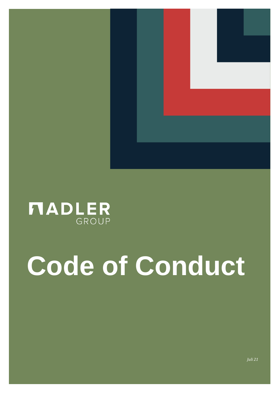

## **NADLER**

# **Code of Conduct**

*Juli 21*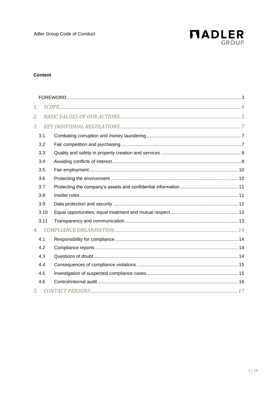

### **Content**

| 1.   |  |  |
|------|--|--|
| 2.   |  |  |
| 3.   |  |  |
| 3.1  |  |  |
| 3.2  |  |  |
| 3.3  |  |  |
| 3.4  |  |  |
| 3.5  |  |  |
| 3.6  |  |  |
| 3.7  |  |  |
| 3.8  |  |  |
| 3.9  |  |  |
| 3.10 |  |  |
| 3.11 |  |  |
| 4.   |  |  |
| 4.1  |  |  |
| 4.2  |  |  |
| 4.3  |  |  |
| 4.4  |  |  |
| 4.5  |  |  |
| 4.6  |  |  |
| 5.   |  |  |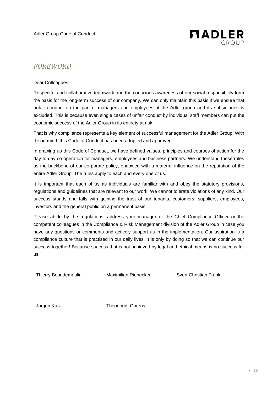

### <span id="page-2-0"></span>*FOREWORD*

#### Dear Colleagues

Respectful and collaborative teamwork and the conscious awareness of our social responsibility form the basis for the long-term success of our company. We can only maintain this basis if we ensure that unfair conduct on the part of managers and employees at the Adler group and its subsidiaries is excluded. This is because even single cases of unfair conduct by individual staff members can put the economic success of the Adler Group in its entirety at risk.

That is why compliance represents a key element of successful management for the Adler Group. With this in mind, this Code of Conduct has been adopted and approved.

In drawing up this Code of Conduct, we have defined values, principles and courses of action for the day-to-day co-operation for managers, employees and business partners. We understand these rules as the backbone of our corporate policy, endowed with a material influence on the reputation of the entire Adler Group. The rules apply to each and every one of us.

It is important that each of us as individuals are familiar with and obey the statutory provisions, regulations and guidelines that are relevant to our work. We cannot tolerate violations of any kind. Our success stands and falls with gaining the trust of our tenants, customers, suppliers, employees, investors and the general public on a permanent basis.

Please abide by the regulations, address your manager or the Chief Compliance Officer or the competent colleagues in the Compliance & Risk Management division of the Adler Group in case you have any questions or comments and actively support us in the implementation. Our aspiration is a compliance culture that is practised in our daily lives. It is only by doing so that we can continue our success together! Because success that is not achieved by legal and ethical means is no success for us.

Thierry Beaudemoulin Maximilian Rienecker Sven-Christian Frank

Jürgen Kutz Theodorus Gorens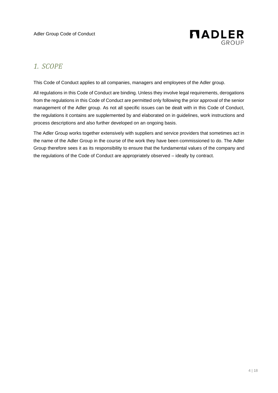

## <span id="page-3-0"></span>*1. SCOPE*

This Code of Conduct applies to all companies, managers and employees of the Adler group.

All regulations in this Code of Conduct are binding. Unless they involve legal requirements, derogations from the regulations in this Code of Conduct are permitted only following the prior approval of the senior management of the Adler group. As not all specific issues can be dealt with in this Code of Conduct, the regulations it contains are supplemented by and elaborated on in guidelines, work instructions and process descriptions and also further developed on an ongoing basis.

The Adler Group works together extensively with suppliers and service providers that sometimes act in the name of the Adler Group in the course of the work they have been commissioned to do. The Adler Group therefore sees it as its responsibility to ensure that the fundamental values of the company and the regulations of the Code of Conduct are appropriately observed – ideally by contract.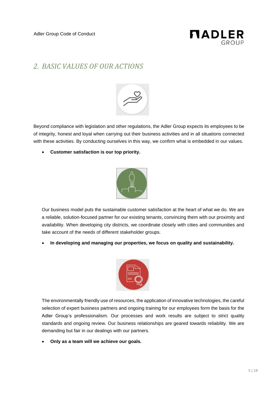

## <span id="page-4-0"></span>*2. BASIC VALUES OF OUR ACTIONS*



Beyond compliance with legislation and other regulations, the Adler Group expects its employees to be of integrity, honest and loyal when carrying out their business activities and in all situations connected with these activities. By conducting ourselves in this way, we confirm what is embedded in our values.

• **Customer satisfaction is our top priority.**



Our business model puts the sustainable customer satisfaction at the heart of what we do. We are a reliable, solution-focused partner for our existing tenants, convincing them with our proximity and availability. When developing city districts, we coordinate closely with cities and communities and take account of the needs of different stakeholder groups.

• **In developing and managing our properties, we focus on quality and sustainability.**



The environmentally friendly use of resources, the application of innovative technologies, the careful selection of expert business partners and ongoing training for our employees form the basis for the Adler Group's professionalism. Our processes and work results are subject to strict quality standards and ongoing review. Our business relationships are geared towards reliability. We are demanding but fair in our dealings with our partners.

• **Only as a team will we achieve our goals.**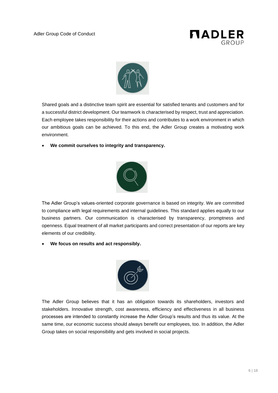



Shared goals and a distinctive team spirit are essential for satisfied tenants and customers and for a successful district development. Our teamwork is characterised by respect, trust and appreciation. Each employee takes responsibility for their actions and contributes to a work environment in which our ambitious goals can be achieved. To this end, the Adler Group creates a motivating work environment.

• **We commit ourselves to integrity and transparency.**



The Adler Group's values-oriented corporate governance is based on integrity. We are committed to compliance with legal requirements and internal guidelines. This standard applies equally to our business partners. Our communication is characterised by transparency, promptness and openness. Equal treatment of all market participants and correct presentation of our reports are key elements of our credibility.

• **We focus on results and act responsibly.**



The Adler Group believes that it has an obligation towards its shareholders, investors and stakeholders. Innovative strength, cost awareness, efficiency and effectiveness in all business processes are intended to constantly increase the Adler Group's results and thus its value. At the same time, our economic success should always benefit our employees, too. In addition, the Adler Group takes on social responsibility and gets involved in social projects.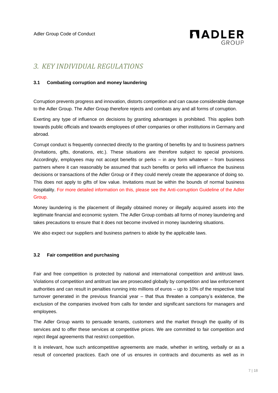

## <span id="page-6-0"></span>*3. KEY INDIVIDUAL REGULATIONS*

#### <span id="page-6-1"></span>**3.1 Combating corruption and money laundering**

Corruption prevents progress and innovation, distorts competition and can cause considerable damage to the Adler Group. The Adler Group therefore rejects and combats any and all forms of corruption.

Exerting any type of influence on decisions by granting advantages is prohibited. This applies both towards public officials and towards employees of other companies or other institutions in Germany and abroad.

Corrupt conduct is frequently connected directly to the granting of benefits by and to business partners (invitations, gifts, donations, etc.). These situations are therefore subject to special provisions. Accordingly, employees may not accept benefits or perks – in any form whatever – from business partners where it can reasonably be assumed that such benefits or perks will influence the business decisions or transactions of the Adler Group or if they could merely create the appearance of doing so. This does not apply to gifts of low value. Invitations must be within the bounds of normal business hospitality. For more detailed information on this, please see the Anti-corruption Guideline of the Adler Group.

Money laundering is the placement of illegally obtained money or illegally acquired assets into the legitimate financial and economic system. The Adler Group combats all forms of money laundering and takes precautions to ensure that it does not become involved in money laundering situations.

We also expect our suppliers and business partners to abide by the applicable laws.

#### <span id="page-6-2"></span>**3.2 Fair competition and purchasing**

Fair and free competition is protected by national and international competition and antitrust laws. Violations of competition and antitrust law are prosecuted globally by competition and law enforcement authorities and can result in penalties running into millions of euros – up to 10% of the respective total turnover generated in the previous financial year – that thus threaten a company's existence, the exclusion of the companies involved from calls for tender and significant sanctions for managers and employees.

The Adler Group wants to persuade tenants, customers and the market through the quality of its services and to offer these services at competitive prices. We are committed to fair competition and reject illegal agreements that restrict competition.

It is irrelevant, how such anticompetitive agreements are made, whether in writing, verbally or as a result of concerted practices. Each one of us ensures in contracts and documents as well as in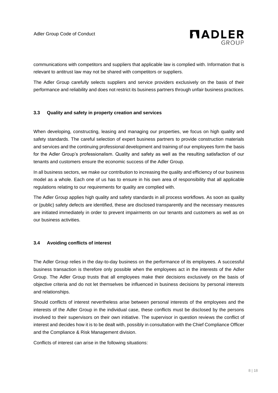

communications with competitors and suppliers that applicable law is complied with. Information that is relevant to antitrust law may not be shared with competitors or suppliers.

The Adler Group carefully selects suppliers and service providers exclusively on the basis of their performance and reliability and does not restrict its business partners through unfair business practices.

#### <span id="page-7-0"></span>**3.3 Quality and safety in property creation and services**

When developing, constructing, leasing and managing our properties, we focus on high quality and safety standards. The careful selection of expert business partners to provide construction materials and services and the continuing professional development and training of our employees form the basis for the Adler Group's professionalism. Quality and safety as well as the resulting satisfaction of our tenants and customers ensure the economic success of the Adler Group.

In all business sectors, we make our contribution to increasing the quality and efficiency of our business model as a whole. Each one of us has to ensure in his own area of responsibility that all applicable regulations relating to our requirements for quality are complied with.

The Adler Group applies high quality and safety standards in all process workflows. As soon as quality or (public) safety defects are identified, these are disclosed transparently and the necessary measures are initiated immediately in order to prevent impairments on our tenants and customers as well as on our business activities.

#### <span id="page-7-1"></span>**3.4 Avoiding conflicts of interest**

The Adler Group relies in the day-to-day business on the performance of its employees. A successful business transaction is therefore only possible when the employees act in the interests of the Adler Group. The Adler Group trusts that all employees make their decisions exclusively on the basis of objective criteria and do not let themselves be influenced in business decisions by personal interests and relationships.

Should conflicts of interest nevertheless arise between personal interests of the employees and the interests of the Adler Group in the individual case, these conflicts must be disclosed by the persons involved to their supervisors on their own initiative. The supervisor in question reviews the conflict of interest and decides how it is to be dealt with, possibly in consultation with the Chief Compliance Officer and the Compliance & Risk Management division.

Conflicts of interest can arise in the following situations: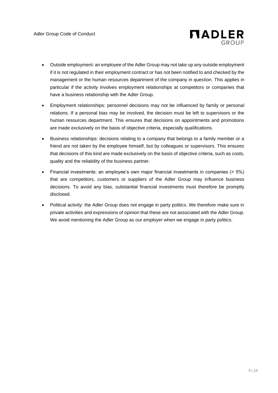

- Outside employment: an employee of the Adler Group may not take up any outside employment if it is not regulated in their employment contract or has not been notified to and checked by the management or the human resources department of the company in question. This applies in particular if the activity involves employment relationships at competitors or companies that have a business relationship with the Adler Group.
- Employment relationships: personnel decisions may not be influenced by family or personal relations. If a personal bias may be involved, the decision must be left to supervisors or the human resources department. This ensures that decisions on appointments and promotions are made exclusively on the basis of objective criteria, especially qualifications.
- Business relationships: decisions relating to a company that belongs to a family member or a friend are not taken by the employee himself, but by colleagues or supervisors. This ensures that decisions of this kind are made exclusively on the basis of objective criteria, such as costs, quality and the reliability of the business partner.
- Financial investments: an employee's own major financial investments in companies (> 5%) that are competitors, customers or suppliers of the Adler Group may influence business decisions. To avoid any bias, substantial financial investments must therefore be promptly disclosed.
- Political activity: the Adler Group does not engage in party politics. We therefore make sure in private activities and expressions of opinion that these are not associated with the Adler Group. We avoid mentioning the Adler Group as our employer when we engage in party politics.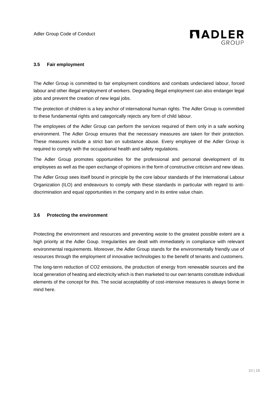

#### <span id="page-9-0"></span>**3.5 Fair employment**

The Adler Group is committed to fair employment conditions and combats undeclared labour, forced labour and other illegal employment of workers. Degrading illegal employment can also endanger legal jobs and prevent the creation of new legal jobs.

The protection of children is a key anchor of international human rights. The Adler Group is committed to these fundamental rights and categorically rejects any form of child labour.

The employees of the Adler Group can perform the services required of them only in a safe working environment. The Adler Group ensures that the necessary measures are taken for their protection. These measures include a strict ban on substance abuse. Every employee of the Adler Group is required to comply with the occupational health and safety regulations.

The Adler Group promotes opportunities for the professional and personal development of its employees as well as the open exchange of opinions in the form of constructive criticism and new ideas.

The Adler Group sees itself bound in principle by the core labour standards of the International Labour Organization (ILO) and endeavours to comply with these standards in particular with regard to antidiscrimination and equal opportunities in the company and in its entire value chain.

#### <span id="page-9-1"></span>**3.6 Protecting the environment**

Protecting the environment and resources and preventing waste to the greatest possible extent are a high priority at the Adler Goup. Irregularities are dealt with immediately in compliance with relevant environmental requirements. Moreover, the Adler Group stands for the environmentally friendly use of resources through the employment of innovative technologies to the benefit of tenants and customers.

The long-term reduction of CO2 emissions, the production of energy from renewable sources and the local generation of heating and electricity which is then marketed to our own tenants constitute individual elements of the concept for this. The social acceptability of cost-intensive measures is always borne in mind here.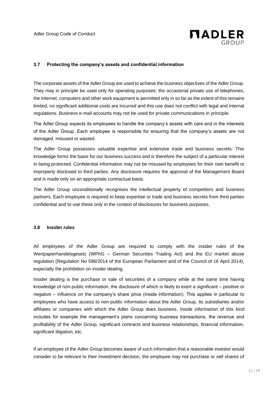

#### <span id="page-10-0"></span>**3.7 Protecting the company's assets and confidential information**

The corporate assets of the Adler Group are used to achieve the business objectives of the Adler Group. They may in principle be used only for operating purposes; the occasional private use of telephones, the Internet, computers and other work equipment is permitted only in so far as the extent of this remains limited, no significant additional costs are incurred and this use does not conflict with legal and internal regulations. Business e-mail accounts may not be used for private communications in principle.

The Adler Group expects its employees to handle the company's assets with care and in the interests of the Adler Group. Each employee is responsible for ensuring that the company's assets are not damaged, misused or wasted.

The Adler Group possesses valuable expertise and extensive trade and business secrets. This knowledge forms the basis for our business success and is therefore the subject of a particular interest in being protected. Confidential information may not be misused by employees for their own benefit or improperly disclosed to third parties. Any disclosure requires the approval of the Management Board and is made only on an appropriate contractual basis.

The Adler Group unconditionally recognises the intellectual property of competitors and business partners. Each employee is required to keep expertise or trade and business secrets from third parties confidential and to use these only in the context of disclosures for business purposes.

#### <span id="page-10-1"></span>**3.8 Insider rules**

All employees of the Adler Group are required to comply with the insider rules of the Wertpapierhandelsgesetz (WPhG – German Securities Trading Act) and the EU market abuse regulation (Regulation No 596/2014 of the European Parliament and of the Council of 16 April 2014), especially the prohibition on insider dealing.

Insider dealing is the purchase or sale of securities of a company while at the same time having knowledge of non-public information, the disclosure of which is likely to exert a significant – positive or negative – influence on the company's share price (inside information). This applies in particular to employees who have access to non-public information about the Adler Group, its subsidiaries and/or affiliates or companies with which the Adler Group does business. Inside information of this kind includes for example the management's plans concerning business transactions, the revenue and profitability of the Adler Group, significant contracts and business relationships, financial information, significant litigation, etc.

If an employee of the Adler Group becomes aware of such information that a reasonable investor would consider to be relevant to their investment decision, the employee may not purchase or sell shares of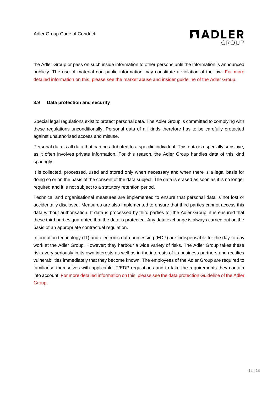

the Adler Group or pass on such inside information to other persons until the information is announced publicly. The use of material non-public information may constitute a violation of the law. For more detailed information on this, please see the market abuse and insider guideline of the Adler Group.

#### <span id="page-11-0"></span>**3.9 Data protection and security**

Special legal regulations exist to protect personal data. The Adler Group is committed to complying with these regulations unconditionally. Personal data of all kinds therefore has to be carefully protected against unauthorised access and misuse.

Personal data is all data that can be attributed to a specific individual. This data is especially sensitive, as it often involves private information. For this reason, the Adler Group handles data of this kind sparingly.

It is collected, processed, used and stored only when necessary and when there is a legal basis for doing so or on the basis of the consent of the data subject. The data is erased as soon as it is no longer required and it is not subject to a statutory retention period.

Technical and organisational measures are implemented to ensure that personal data is not lost or accidentally disclosed. Measures are also implemented to ensure that third parties cannot access this data without authorisation. If data is processed by third parties for the Adler Group, it is ensured that these third parties guarantee that the data is protected. Any data exchange is always carried out on the basis of an appropriate contractual regulation.

Information technology (IT) and electronic data processing (EDP) are indispensable for the day-to-day work at the Adler Group. However; they harbour a wide variety of risks. The Adler Group takes these risks very seriously in its own interests as well as in the interests of its business partners and rectifies vulnerabilities immediately that they become known. The employees of the Adler Group are required to familiarise themselves with applicable IT/EDP regulations and to take the requirements they contain into account. For more detailed information on this, please see the data protection Guideline of the Adler Group.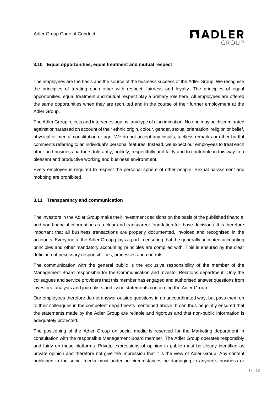

#### <span id="page-12-0"></span>**3.10 Equal opportunities, equal treatment and mutual respect**

The employees are the basis and the source of the business success of the Adler Group. We recognise the principles of treating each other with respect, fairness and loyalty. The principles of equal opportunities, equal treatment and mutual respect play a primary role here. All employees are offered the same opportunities when they are recruited and in the course of their further employment at the Adler Group.

The Adler Group rejects and intervenes against any type of discrimination. No one may be discriminated against or harassed on account of their ethnic origin, colour, gender, sexual orientation, religion or belief, physical or mental constitution or age. We do not accept any insults, tactless remarks or other hurtful comments referring to an individual's personal features. Instead, we expect our employees to treat each other and business partners tolerantly, politely, respectfully and fairly and to contribute in this way to a pleasant and productive working and business environment.

Every employee is required to respect the personal sphere of other people. Sexual harassment and mobbing are prohibited.

#### <span id="page-12-1"></span>**3.11 Transparency and communication**

The investors in the Adler Group make their investment decisions on the basis of the published financial and non-financial information as a clear and transparent foundation for those decisions. It is therefore important that all business transactions are properly documented, invoiced and recognised in the accounts. Everyone at the Adler Group plays a part in ensuring that the generally accepted accounting principles and other mandatory accounting principles are complied with. This is ensured by the clear definition of necessary responsibilities, processes and controls.

The communication with the general public is the exclusive responsibility of the member of the Management Board responsible for the Communication and Investor Relations department. Only the colleagues and service providers that this member has engaged and authorised answer questions from investors, analysts and journalists and issue statements concerning the Adler Group.

Our employees therefore do not answer outside questions in an uncoordinated way, but pass them on to their colleagues in the competent departments mentioned above. It can thus be jointly ensured that the statements made by the Adler Group are reliable and rigorous and that non-public information is adequately protected.

The positioning of the Adler Group on social media is reserved for the Marketing department in consultation with the responsible Management Board member. The Adler Group operates responsibly and fairly on these platforms. Private expressions of opinion in public must be clearly identified as private opinion and therefore not give the impression that it is the view of Adler Group. Any content published in the social media must under no circumstances be damaging to anyone's business or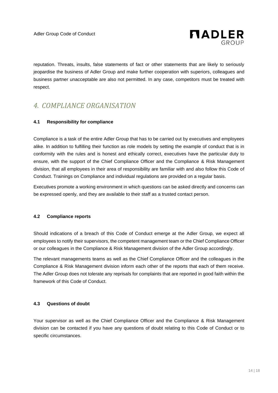

reputation. Threats, insults, false statements of fact or other statements that are likely to seriously jeopardise the business of Adler Group and make further cooperation with superiors, colleagues and business partner unacceptable are also not permitted. In any case, competitors must be treated with respect.

## <span id="page-13-0"></span>*4. COMPLIANCE ORGANISATION*

#### <span id="page-13-1"></span>**4.1 Responsibility for compliance**

Compliance is a task of the entire Adler Group that has to be carried out by executives and employees alike. In addition to fulfilling their function as role models by setting the example of conduct that is in conformity with the rules and is honest and ethically correct, executives have the particular duty to ensure, with the support of the Chief Compliance Officer and the Compliance & Risk Management division, that all employees in their area of responsibility are familiar with and also follow this Code of Conduct. Trainings on Compliance and individual regulations are provided on a regular basis.

Executives promote a working environment in which questions can be asked directly and concerns can be expressed openly, and they are available to their staff as a trusted contact person.

#### <span id="page-13-2"></span>**4.2 Compliance reports**

Should indications of a breach of this Code of Conduct emerge at the Adler Group, we expect all employees to notify their supervisors, the competent management team or the Chief Compliance Officer or our colleagues in the Compliance & Risk Management division of the Adler Group accordingly.

The relevant managements teams as well as the Chief Compliance Officer and the colleagues in the Compliance & Risk Management division inform each other of the reports that each of them receive. The Adler Group does not tolerate any reprisals for complaints that are reported in good faith within the framework of this Code of Conduct.

#### <span id="page-13-3"></span>**4.3 Questions of doubt**

Your supervisor as well as the Chief Compliance Officer and the Compliance & Risk Management division can be contacted if you have any questions of doubt relating to this Code of Conduct or to specific circumstances.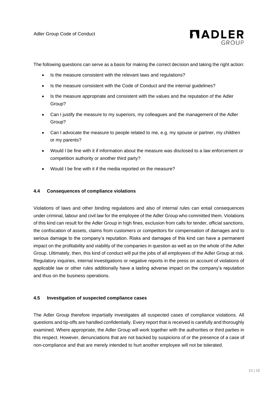

The following questions can serve as a basis for making the correct decision and taking the right action:

- Is the measure consistent with the relevant laws and regulations?
- Is the measure consistent with the Code of Conduct and the internal guidelines?
- Is the measure appropriate and consistent with the values and the reputation of the Adler Group?
- Can I justify the measure to my superiors, my colleagues and the management of the Adler Group?
- Can I advocate the measure to people related to me, e.g. my spouse or partner, my children or my parents?
- Would I be fine with it if information about the measure was disclosed to a law enforcement or competition authority or another third party?
- Would I be fine with it if the media reported on the measure?

#### <span id="page-14-0"></span>**4.4 Consequences of compliance violations**

Violations of laws and other binding regulations and also of internal rules can entail consequences under criminal, labour and civil law for the employee of the Adler Group who committed them. Violations of this kind can result for the Adler Group in high fines, exclusion from calls for tender, official sanctions, the confiscation of assets, claims from customers or competitors for compensation of damages and to serious damage to the company's reputation. Risks and damages of this kind can have a permanent impact on the profitability and viability of the companies in question as well as on the whole of the Adler Group. Ultimately, then, this kind of conduct will put the jobs of all employees of the Adler Group at risk. Regulatory inquiries, internal investigations or negative reports in the press on account of violations of applicable law or other rules additionally have a lasting adverse impact on the company's reputation and thus on the business operations.

#### <span id="page-14-1"></span>**4.5 Investigation of suspected compliance cases**

The Adler Group therefore impartially investigates all suspected cases of compliance violations. All questions and tip-offs are handled confidentially. Every report that is received is carefully and thoroughly examined. Where appropriate, the Adler Group will work together with the authorities or third parties in this respect. However, denunciations that are not backed by suspicions of or the presence of a case of non-compliance and that are merely intended to hurt another employee will not be tolerated.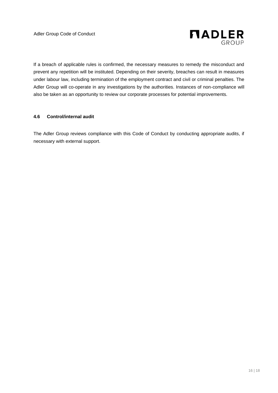

If a breach of applicable rules is confirmed, the necessary measures to remedy the misconduct and prevent any repetition will be instituted. Depending on their severity, breaches can result in measures under labour law, including termination of the employment contract and civil or criminal penalties. The Adler Group will co-operate in any investigations by the authorities. Instances of non-compliance will also be taken as an opportunity to review our corporate processes for potential improvements.

#### <span id="page-15-0"></span>**4.6 Control/internal audit**

The Adler Group reviews compliance with this Code of Conduct by conducting appropriate audits, if necessary with external support.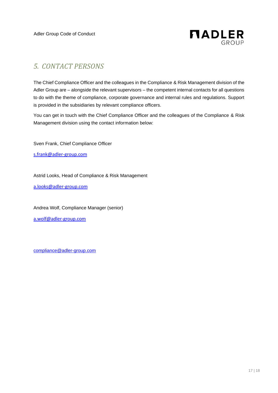

## <span id="page-16-0"></span>*5. CONTACT PERSONS*

The Chief Compliance Officer and the colleagues in the Compliance & Risk Management division of the Adler Group are – alongside the relevant supervisors – the competent internal contacts for all questions to do with the theme of compliance, corporate governance and internal rules and regulations. Support is provided in the subsidiaries by relevant compliance officers.

You can get in touch with the Chief Compliance Officer and the colleagues of the Compliance & Risk Management division using the contact information below:

Sven Frank, Chief Compliance Officer

[s.frank@adler-group.com](mailto:s.frank@adler-group.com)

Astrid Looks, Head of Compliance & Risk Management

[a.looks@adler-group.com](mailto:a.looks@adler-group.com)

Andrea Wolf, Compliance Manager (senior) [a.wolf@adler-group.com](mailto:a.wolf@adler-group.com)

[compliance@adler-group.com](mailto:compliance@adler-group.com)